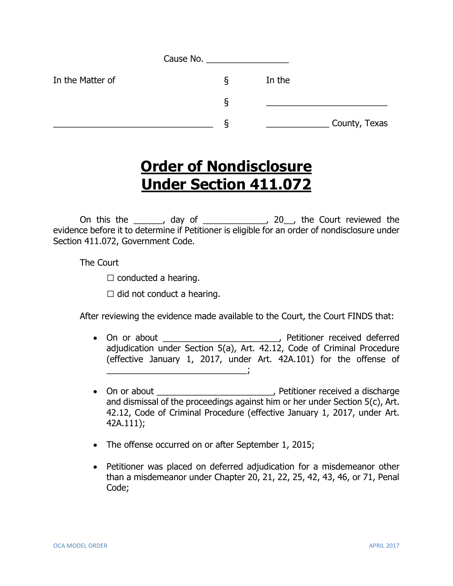|                  | Cause No. |        |               |
|------------------|-----------|--------|---------------|
| In the Matter of | ১         | In the |               |
|                  | δ         |        |               |
|                  | O         |        | County, Texas |

## **Order of Nondisclosure Under Section 411.072**

On this the \_\_\_\_\_\_, day of \_\_\_\_\_\_\_\_\_\_\_\_\_, 20\_\_, the Court reviewed the evidence before it to determine if Petitioner is eligible for an order of nondisclosure under Section 411.072, Government Code.

The Court

 $\square$  conducted a hearing.

 $\Box$  did not conduct a hearing.

After reviewing the evidence made available to the Court, the Court FINDS that:

- On or about \_\_\_\_\_\_\_\_\_\_\_\_\_\_\_\_\_\_\_\_\_\_\_\_, Petitioner received deferred adjudication under Section 5(a), Art. 42.12, Code of Criminal Procedure (effective January 1, 2017, under Art. 42A.101) for the offense of  $\overline{\phantom{a}}$
- On or about \_\_\_\_\_\_\_\_\_\_\_\_\_\_\_\_\_\_\_\_\_\_\_\_\_\_, Petitioner received a discharge and dismissal of the proceedings against him or her under Section 5(c), Art. 42.12, Code of Criminal Procedure (effective January 1, 2017, under Art. 42A.111);
- The offense occurred on or after September 1, 2015;
- Petitioner was placed on deferred adjudication for a misdemeanor other than a misdemeanor under Chapter 20, 21, 22, 25, 42, 43, 46, or 71, Penal Code;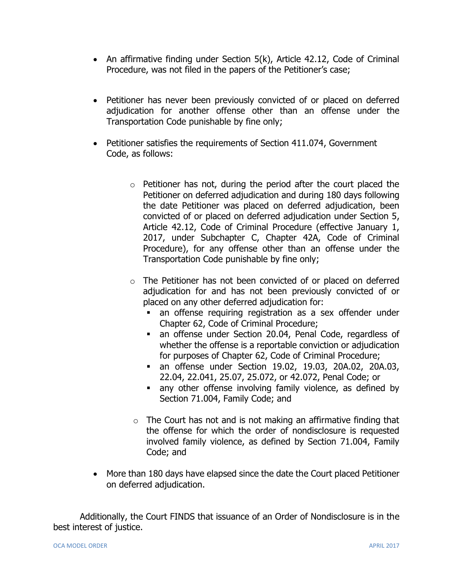- An affirmative finding under Section 5(k), Article 42.12, Code of Criminal Procedure, was not filed in the papers of the Petitioner's case;
- Petitioner has never been previously convicted of or placed on deferred adjudication for another offense other than an offense under the Transportation Code punishable by fine only;
- Petitioner satisfies the requirements of Section 411.074, Government Code, as follows:
	- $\circ$  Petitioner has not, during the period after the court placed the Petitioner on deferred adjudication and during 180 days following the date Petitioner was placed on deferred adjudication, been convicted of or placed on deferred adjudication under Section 5, Article 42.12, Code of Criminal Procedure (effective January 1, 2017, under Subchapter C, Chapter 42A, Code of Criminal Procedure), for any offense other than an offense under the Transportation Code punishable by fine only;
	- o The Petitioner has not been convicted of or placed on deferred adjudication for and has not been previously convicted of or placed on any other deferred adjudication for:
		- an offense requiring registration as a sex offender under Chapter 62, Code of Criminal Procedure;
		- an offense under Section 20.04, Penal Code, regardless of whether the offense is a reportable conviction or adjudication for purposes of Chapter 62, Code of Criminal Procedure;
		- an offense under Section 19.02, 19.03, 20A.02, 20A.03, 22.04, 22.041, 25.07, 25.072, or 42.072, Penal Code; or
		- any other offense involving family violence, as defined by Section 71.004, Family Code; and
	- $\circ$  The Court has not and is not making an affirmative finding that the offense for which the order of nondisclosure is requested involved family violence, as defined by Section 71.004, Family Code; and
- More than 180 days have elapsed since the date the Court placed Petitioner on deferred adjudication.

Additionally, the Court FINDS that issuance of an Order of Nondisclosure is in the best interest of justice.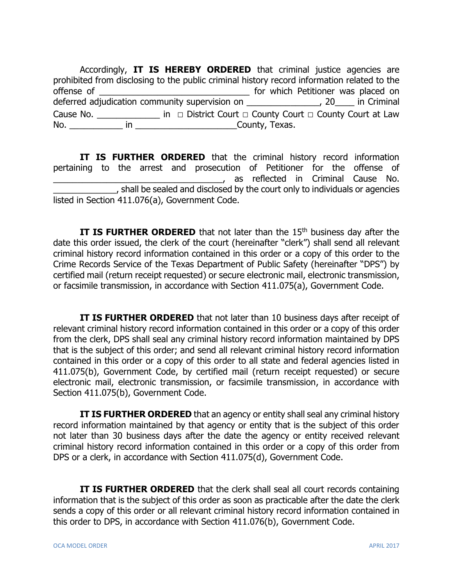Accordingly, **IT IS HEREBY ORDERED** that criminal justice agencies are prohibited from disclosing to the public criminal history record information related to the offense of \_\_\_\_\_\_\_\_\_\_\_\_\_\_\_\_\_\_\_\_\_\_\_\_\_\_\_\_\_\_\_ for which Petitioner was placed on deferred adjudication community supervision on \_\_\_\_\_\_\_\_\_\_\_\_\_\_\_\_\_, 20\_\_\_\_\_ in Criminal Cause No. \_\_\_\_\_\_\_\_\_\_\_\_\_ in **□** District Court **□** County Court **□** County Court at Law No. The county, Texas.

**IT IS FURTHER ORDERED** that the criminal history record information pertaining to the arrest and prosecution of Petitioner for the offense of \_\_\_\_\_\_\_\_\_\_\_\_\_\_\_\_\_\_\_\_\_\_\_\_\_\_\_\_\_\_\_\_\_\_\_, as reflected in Criminal Cause No. \_\_\_\_\_\_\_\_\_\_\_\_\_, shall be sealed and disclosed by the court only to individuals or agencies listed in Section 411.076(a), Government Code.

**IT IS FURTHER ORDERED** that not later than the 15<sup>th</sup> business day after the date this order issued, the clerk of the court (hereinafter "clerk") shall send all relevant criminal history record information contained in this order or a copy of this order to the Crime Records Service of the Texas Department of Public Safety (hereinafter "DPS") by certified mail (return receipt requested) or secure electronic mail, electronic transmission, or facsimile transmission, in accordance with Section 411.075(a), Government Code.

**IT IS FURTHER ORDERED** that not later than 10 business days after receipt of relevant criminal history record information contained in this order or a copy of this order from the clerk, DPS shall seal any criminal history record information maintained by DPS that is the subject of this order; and send all relevant criminal history record information contained in this order or a copy of this order to all state and federal agencies listed in 411.075(b), Government Code, by certified mail (return receipt requested) or secure electronic mail, electronic transmission, or facsimile transmission, in accordance with Section 411.075(b), Government Code.

**IT IS FURTHER ORDERED** that an agency or entity shall seal any criminal history record information maintained by that agency or entity that is the subject of this order not later than 30 business days after the date the agency or entity received relevant criminal history record information contained in this order or a copy of this order from DPS or a clerk, in accordance with Section 411.075(d), Government Code.

**IT IS FURTHER ORDERED** that the clerk shall seal all court records containing information that is the subject of this order as soon as practicable after the date the clerk sends a copy of this order or all relevant criminal history record information contained in this order to DPS, in accordance with Section 411.076(b), Government Code.